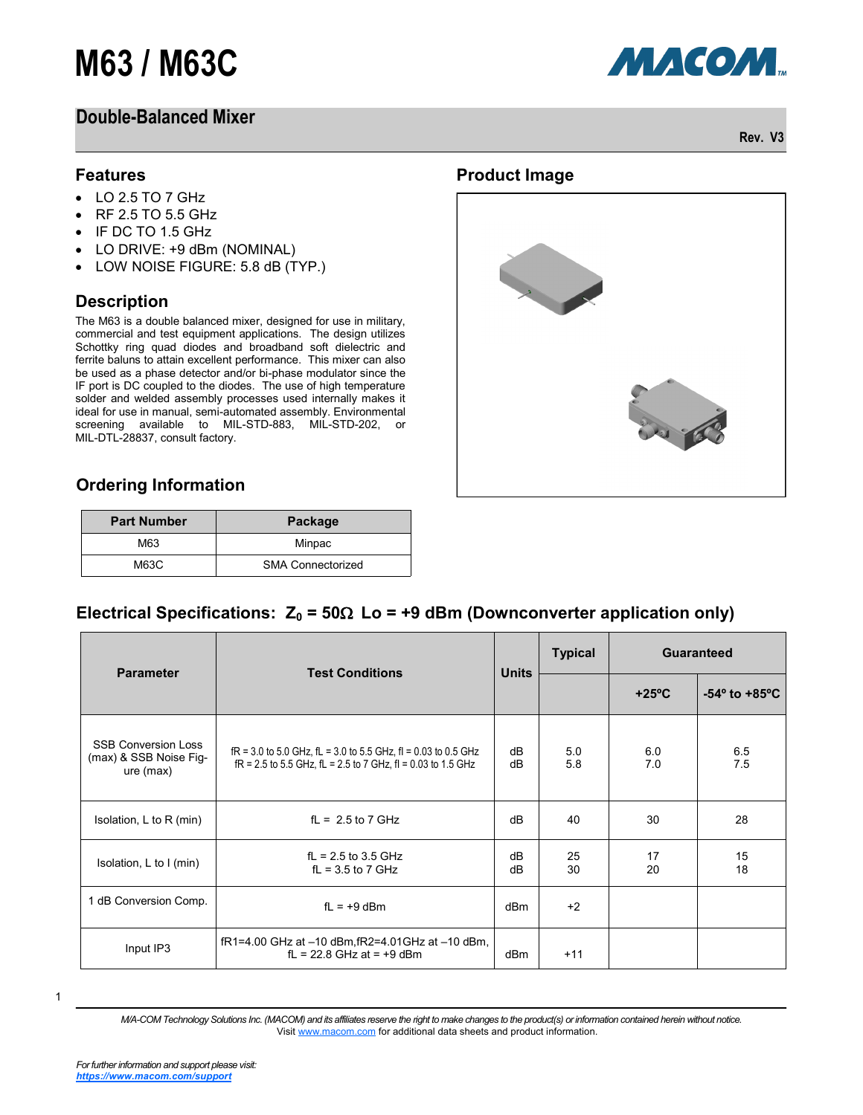# **M63 / M63C**

## **Double-Balanced Mixer**



**Rev. V3**

#### **Features**

- $\bullet$  LO 2.5 TO 7 GHz
- RF 2.5 TO 5.5 GHz
- IF DC TO 1.5 GHz
- LO DRIVE: +9 dBm (NOMINAL)
- LOW NOISE FIGURE: 5.8 dB (TYP.)

#### **Description**

The M63 is a double balanced mixer, designed for use in military, commercial and test equipment applications. The design utilizes Schottky ring quad diodes and broadband soft dielectric and ferrite baluns to attain excellent performance. This mixer can also be used as a phase detector and/or bi-phase modulator since the IF port is DC coupled to the diodes. The use of high temperature solder and welded assembly processes used internally makes it ideal for use in manual, semi-automated assembly. Environmental screening available to MIL-STD-883, MIL-STD-202, or MIL-DTL-28837, consult factory.



### **Ordering Information**

| <b>Part Number</b> | Package                  |  |
|--------------------|--------------------------|--|
| M63                | Minpac                   |  |
| M63C               | <b>SMA Connectorized</b> |  |

#### Electrical Specifications:  $Z_0 = 50\Omega$  Lo = +9 dBm (Downconverter application only)

| <b>Parameter</b>                                                  | <b>Test Conditions</b>                                                                                                                     | <b>Units</b>    | <b>Typical</b> | <b>Guaranteed</b> |                                  |
|-------------------------------------------------------------------|--------------------------------------------------------------------------------------------------------------------------------------------|-----------------|----------------|-------------------|----------------------------------|
|                                                                   |                                                                                                                                            |                 |                | $+25^{\circ}$ C   | $-54^{\circ}$ to $+85^{\circ}$ C |
| <b>SSB Conversion Loss</b><br>(max) & SSB Noise Fig-<br>ure (max) | $fR = 3.0$ to 5.0 GHz, $fL = 3.0$ to 5.5 GHz, $fI = 0.03$ to 0.5 GHz<br>$fR = 2.5$ to 5.5 GHz, $fL = 2.5$ to 7 GHz, $fI = 0.03$ to 1.5 GHz | dB<br>dB        | 5.0<br>5.8     | 6.0<br>7.0        | 6.5<br>7.5                       |
| Isolation, L to R (min)                                           | $fL = 2.5$ to 7 GHz                                                                                                                        | dB              | 40             | 30                | 28                               |
| Isolation, L to I (min)                                           | $fL = 2.5$ to 3.5 GHz<br>$fL = 3.5$ to 7 GHz                                                                                               | dB<br>dB        | 25<br>30       | 17<br>20          | 15<br>18                         |
| 1 dB Conversion Comp.                                             | $fL = +9$ dBm                                                                                                                              | dB <sub>m</sub> | $+2$           |                   |                                  |
| Input IP3                                                         | $fR1 = 4.00$ GHz at $-10$ dBm, $fR2 = 4.01$ GHz at $-10$ dBm,<br>$fL = 22.8$ GHz at = +9 dBm                                               | dBm             | $+11$          |                   |                                  |

1

*M/A-COM Technology Solutions Inc. (MACOM) and its affiliates reserve the right to make changes to the product(s) or information contained herein without notice.*  Visit [www.macom.com](http://www.macom.com/) for additional data sheets and product information.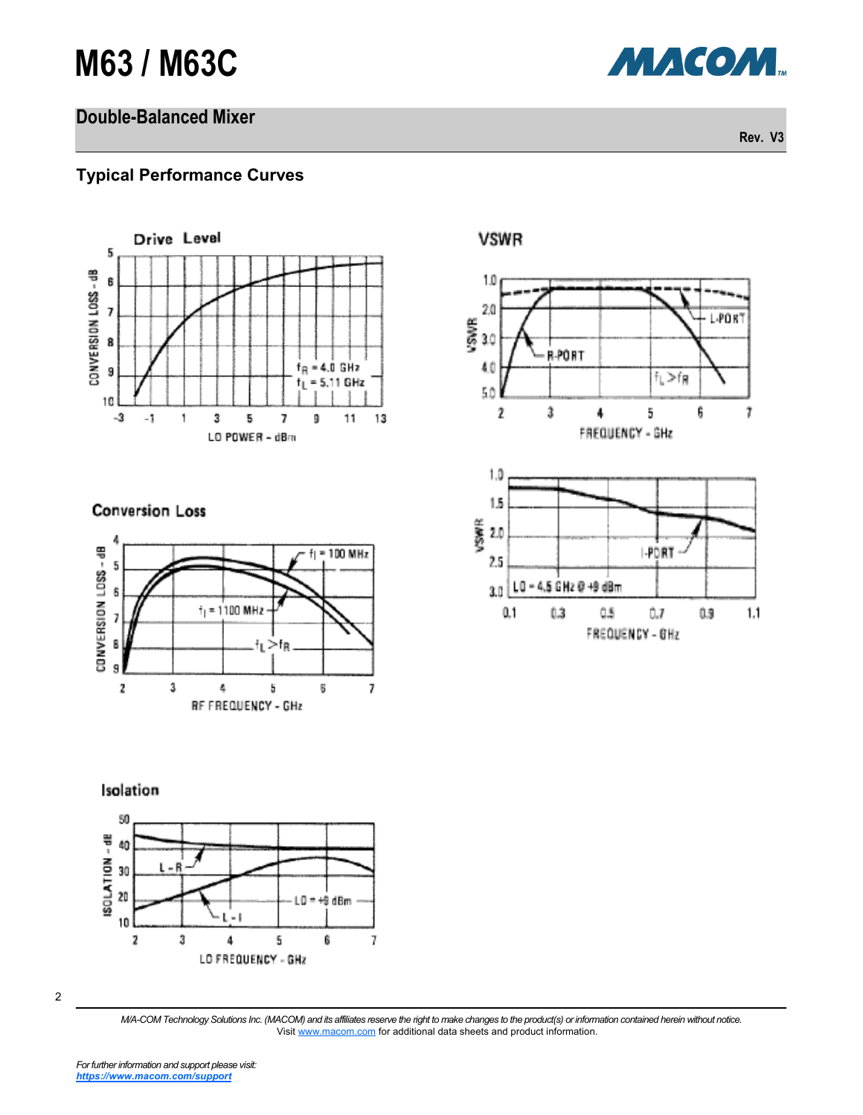# **M63 / M63C**

## **Double-Balanced Mixer**

**МАСОМ** 

**Rev. V3**

### **Typical Performance Curves**



#### **Conversion Loss**





#### Isolation



<sup>2</sup>

*M/A-COM Technology Solutions Inc. (MACOM) and its affiliates reserve the right to make changes to the product(s) or information contained herein without notice.*  Visit [www.macom.com](http://www.macom.com/) for additional data sheets and product information.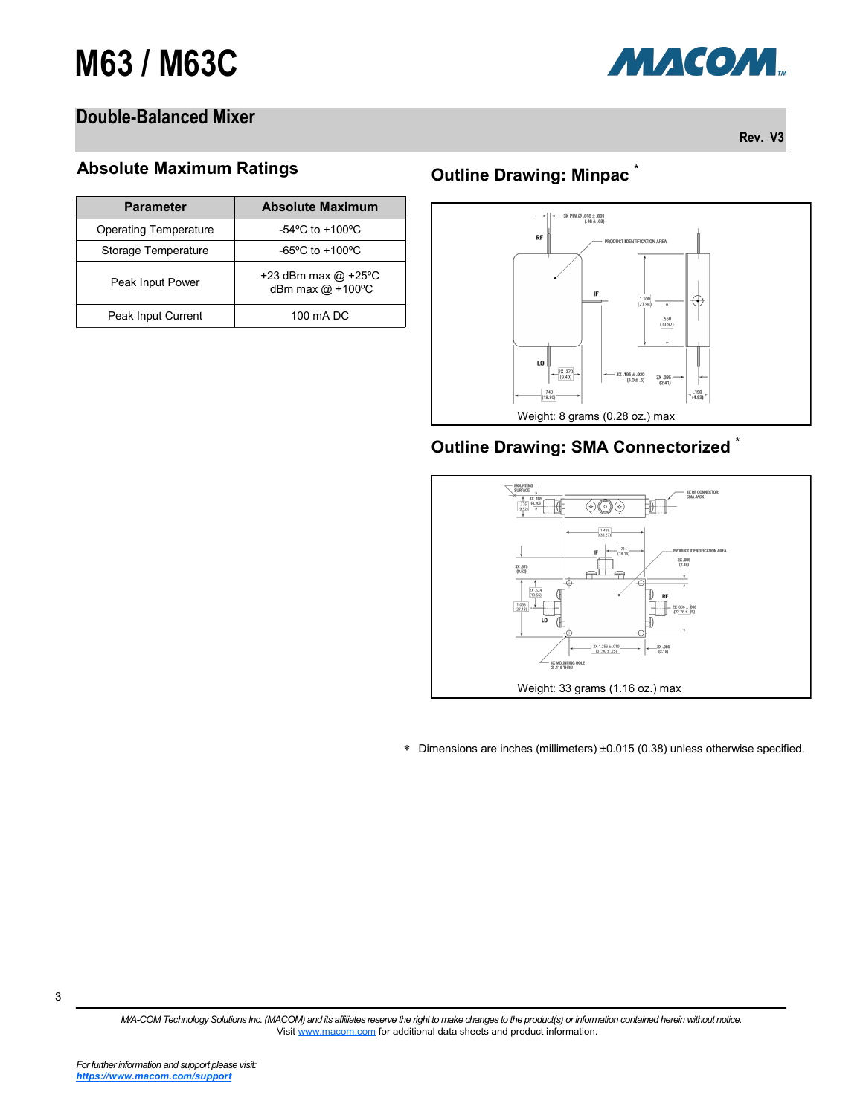

## **Double-Balanced Mixer**

**Rev. V3**

#### **Absolute Maximum Ratings**

| <b>Parameter</b>      | <b>Absolute Maximum</b>                   |  |
|-----------------------|-------------------------------------------|--|
| Operating Temperature | $-54^{\circ}$ C to $+100^{\circ}$ C       |  |
| Storage Temperature   | $-65^{\circ}$ C to $+100^{\circ}$ C       |  |
| Peak Input Power      | +23 dBm max $@$ +25°C<br>dBm max @ +100°C |  |
| Peak Input Current    | 100 mA DC                                 |  |

## **Outline Drawing: Minpac \***



## **Outline Drawing: SMA Connectorized \***



Dimensions are inches (millimeters) ±0.015 (0.38) unless otherwise specified.